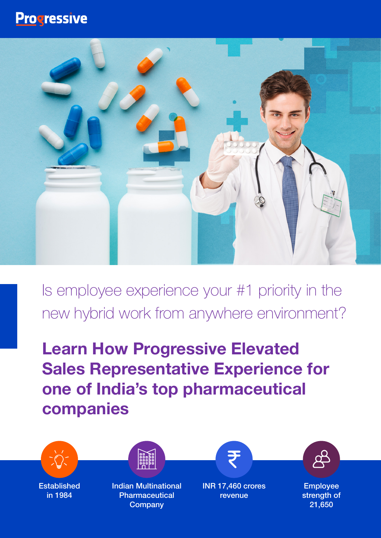## **Progressive**



Is employee experience your #1 priority in the new hybrid work from anywhere environment?

**Learn How Progressive Elevated Sales Representative Experience for one of India's top pharmaceutical companies**

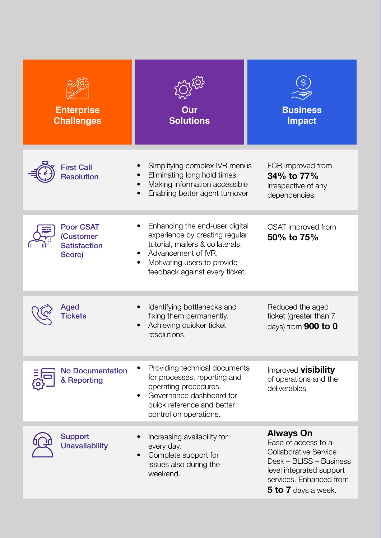| <b>Enterprise</b><br><b>Challenges</b>                         | Our<br><b>Solutions</b>                                                                                                                                                                      | <b>Business</b><br><b>Impact</b>                                                                                                                                                 |
|----------------------------------------------------------------|----------------------------------------------------------------------------------------------------------------------------------------------------------------------------------------------|----------------------------------------------------------------------------------------------------------------------------------------------------------------------------------|
| <b>First Call</b><br><b>Resolution</b>                         | Simplifying complex IVR menus<br>Eliminating long hold times<br>Making information accessible<br>Enabling better agent turnover                                                              | FCR improved from<br>34% to 77%<br>irrespective of any<br>dependencies.                                                                                                          |
| <b>Poor CSAT</b><br>(Customer<br><b>Satisfaction</b><br>Score) | Enhancing the end-user digital<br>experience by creating regular<br>tutorial, mailers & collaterals.<br>Advancement of IVR.<br>Motivating users to provide<br>feedback against every ticket. | CSAT improved from<br>50% to 75%                                                                                                                                                 |
| Aged                                                           | Identifying bottlenecks and<br>fixing them permanently.<br>Achieving quicker ticket<br>resolutions.                                                                                          | Reduced the aged<br>ticket (greater than 7<br>days) from $900$ to $0$                                                                                                            |
| <b>No Documentation</b><br>& Reporting                         | Providing technical documents<br>for processes, reporting and<br>operating procedures.<br>Governance dashboard for<br>quick reference and better<br>control on operations.                   | Improved visibility<br>of operations and the<br>deliverables                                                                                                                     |
| <b>Support</b><br><b>Unavailability</b>                        | Increasing availability for<br>every day.<br>Complete support for<br>issues also during the<br>weekend.                                                                                      | <b>Always On</b><br>Ease of access to a<br><b>Collaborative Service</b><br>Desk - BLISS - Business<br>level integrated support<br>services. Enhanced from<br>5 to 7 days a week. |